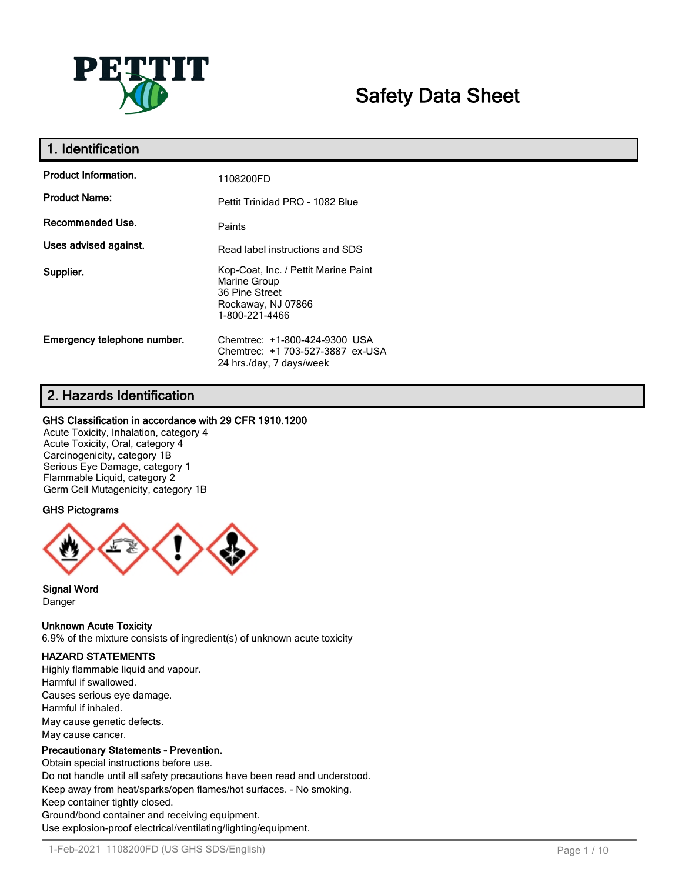

# **Safety Data Sheet**

| 1. Identification           |                                                                                                                |
|-----------------------------|----------------------------------------------------------------------------------------------------------------|
| <b>Product Information.</b> | 1108200FD                                                                                                      |
| <b>Product Name:</b>        | Pettit Trinidad PRO - 1082 Blue                                                                                |
| Recommended Use.            | Paints                                                                                                         |
| Uses advised against.       | Read label instructions and SDS                                                                                |
| Supplier.                   | Kop-Coat, Inc. / Pettit Marine Paint<br>Marine Group<br>36 Pine Street<br>Rockaway, NJ 07866<br>1-800-221-4466 |
| Emergency telephone number. | Chemtrec: +1-800-424-9300 USA<br>Chemtrec: +1 703-527-3887 ex-USA<br>24 hrs./day, 7 days/week                  |

# **2. Hazards Identification**

## **GHS Classification in accordance with 29 CFR 1910.1200**

Acute Toxicity, Inhalation, category 4 Acute Toxicity, Oral, category 4 Carcinogenicity, category 1B Serious Eye Damage, category 1 Flammable Liquid, category 2 Germ Cell Mutagenicity, category 1B

# **GHS Pictograms**



**Signal Word** Danger

## **Unknown Acute Toxicity**

6.9% of the mixture consists of ingredient(s) of unknown acute toxicity

## **HAZARD STATEMENTS**

Highly flammable liquid and vapour. Harmful if swallowed. Causes serious eye damage. Harmful if inhaled. May cause genetic defects. May cause cancer.

## **Precautionary Statements - Prevention.**

Obtain special instructions before use. Do not handle until all safety precautions have been read and understood. Keep away from heat/sparks/open flames/hot surfaces. - No smoking. Keep container tightly closed. Ground/bond container and receiving equipment. Use explosion-proof electrical/ventilating/lighting/equipment.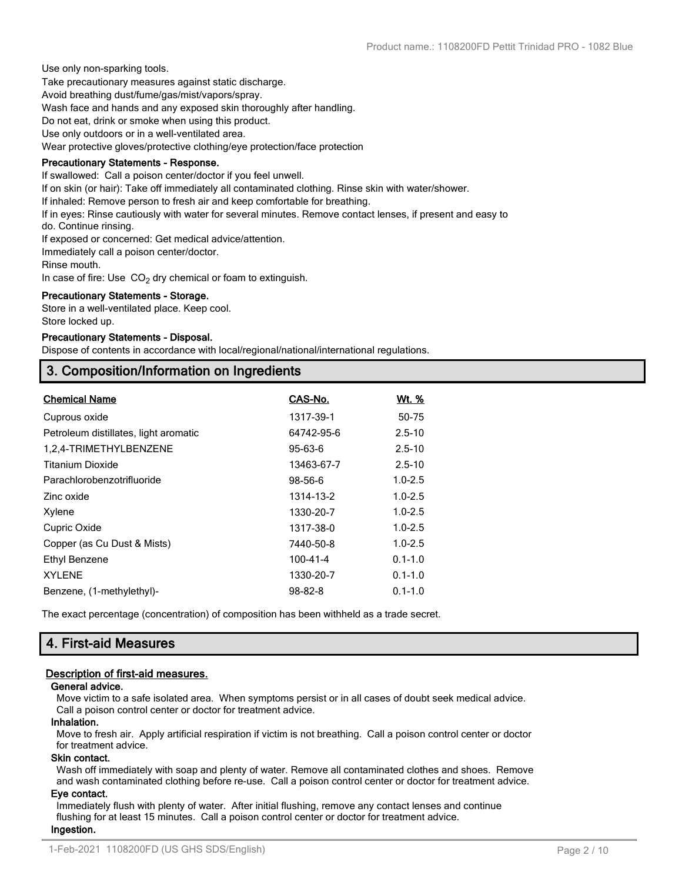Use only non-sparking tools.

Take precautionary measures against static discharge.

Avoid breathing dust/fume/gas/mist/vapors/spray.

Wash face and hands and any exposed skin thoroughly after handling.

Do not eat, drink or smoke when using this product.

Use only outdoors or in a well-ventilated area.

Wear protective gloves/protective clothing/eye protection/face protection

#### **Precautionary Statements - Response.**

If swallowed: Call a poison center/doctor if you feel unwell.

If on skin (or hair): Take off immediately all contaminated clothing. Rinse skin with water/shower.

If inhaled: Remove person to fresh air and keep comfortable for breathing.

If in eyes: Rinse cautiously with water for several minutes. Remove contact lenses, if present and easy to

do. Continue rinsing.

If exposed or concerned: Get medical advice/attention.

Immediately call a poison center/doctor.

Rinse mouth.

In case of fire: Use  $CO<sub>2</sub>$  dry chemical or foam to extinguish.

#### **Precautionary Statements - Storage.**

Store in a well-ventilated place. Keep cool. Store locked up.

#### **Precautionary Statements - Disposal.**

Dispose of contents in accordance with local/regional/national/international regulations.

# **3. Composition/Information on Ingredients**

| <b>Chemical Name</b>                  | CAS-No.       | Wt. %       |
|---------------------------------------|---------------|-------------|
| Cuprous oxide                         | 1317-39-1     | 50-75       |
| Petroleum distillates, light aromatic | 64742-95-6    | $2.5 - 10$  |
| 1,2,4-TRIMETHYLBENZENE                | 95-63-6       | $2.5 - 10$  |
| <b>Titanium Dioxide</b>               | 13463-67-7    | $2.5 - 10$  |
| Parachlorobenzotrifluoride            | 98-56-6       | $1.0 - 2.5$ |
| Zinc oxide                            | 1314-13-2     | $1.0 - 2.5$ |
| Xylene                                | 1330-20-7     | $1.0 - 2.5$ |
| Cupric Oxide                          | 1317-38-0     | $1.0 - 2.5$ |
| Copper (as Cu Dust & Mists)           | 7440-50-8     | $1.0 - 2.5$ |
| Ethyl Benzene                         | 100-41-4      | $0.1 - 1.0$ |
| <b>XYLENE</b>                         | 1330-20-7     | $0.1 - 1.0$ |
| Benzene, (1-methylethyl)-             | $98 - 82 - 8$ | $0.1 - 1.0$ |

The exact percentage (concentration) of composition has been withheld as a trade secret.

# **4. First-aid Measures**

## **Description of first-aid measures.**

## **General advice.**

Move victim to a safe isolated area. When symptoms persist or in all cases of doubt seek medical advice. Call a poison control center or doctor for treatment advice.

## **Inhalation.**

Move to fresh air. Apply artificial respiration if victim is not breathing. Call a poison control center or doctor for treatment advice.

#### **Skin contact.**

Wash off immediately with soap and plenty of water. Remove all contaminated clothes and shoes. Remove and wash contaminated clothing before re-use. Call a poison control center or doctor for treatment advice.

## **Eye contact.**

Immediately flush with plenty of water. After initial flushing, remove any contact lenses and continue flushing for at least 15 minutes. Call a poison control center or doctor for treatment advice. **Ingestion.**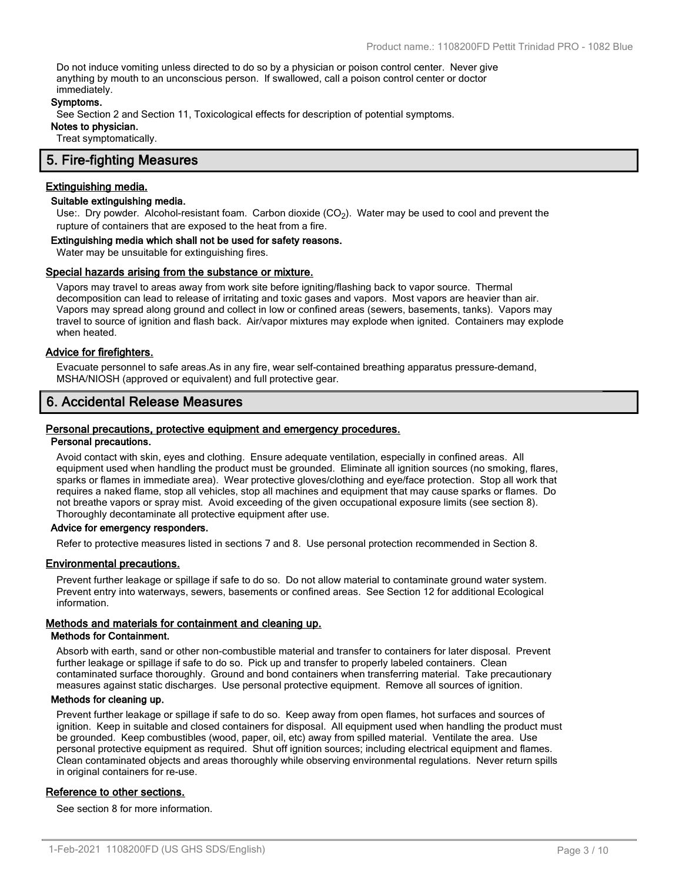Do not induce vomiting unless directed to do so by a physician or poison control center. Never give anything by mouth to an unconscious person. If swallowed, call a poison control center or doctor immediately.

#### **Symptoms.**

See Section 2 and Section 11, Toxicological effects for description of potential symptoms.

**Notes to physician.**

Treat symptomatically.

# **5. Fire-fighting Measures**

#### **Extinguishing media.**

## **Suitable extinguishing media.**

Use:. Dry powder. Alcohol-resistant foam. Carbon dioxide (CO<sub>2</sub>). Water may be used to cool and prevent the rupture of containers that are exposed to the heat from a fire.

#### **Extinguishing media which shall not be used for safety reasons.**

Water may be unsuitable for extinguishing fires.

#### **Special hazards arising from the substance or mixture.**

Vapors may travel to areas away from work site before igniting/flashing back to vapor source. Thermal decomposition can lead to release of irritating and toxic gases and vapors. Most vapors are heavier than air. Vapors may spread along ground and collect in low or confined areas (sewers, basements, tanks). Vapors may travel to source of ignition and flash back. Air/vapor mixtures may explode when ignited. Containers may explode when heated.

#### **Advice for firefighters.**

Evacuate personnel to safe areas.As in any fire, wear self-contained breathing apparatus pressure-demand, MSHA/NIOSH (approved or equivalent) and full protective gear.

# **6. Accidental Release Measures**

#### **Personal precautions, protective equipment and emergency procedures.**

#### **Personal precautions.**

Avoid contact with skin, eyes and clothing. Ensure adequate ventilation, especially in confined areas. All equipment used when handling the product must be grounded. Eliminate all ignition sources (no smoking, flares, sparks or flames in immediate area). Wear protective gloves/clothing and eye/face protection. Stop all work that requires a naked flame, stop all vehicles, stop all machines and equipment that may cause sparks or flames. Do not breathe vapors or spray mist. Avoid exceeding of the given occupational exposure limits (see section 8). Thoroughly decontaminate all protective equipment after use.

#### **Advice for emergency responders.**

Refer to protective measures listed in sections 7 and 8. Use personal protection recommended in Section 8.

#### **Environmental precautions.**

Prevent further leakage or spillage if safe to do so. Do not allow material to contaminate ground water system. Prevent entry into waterways, sewers, basements or confined areas. See Section 12 for additional Ecological information.

#### **Methods and materials for containment and cleaning up.**

#### **Methods for Containment.**

Absorb with earth, sand or other non-combustible material and transfer to containers for later disposal. Prevent further leakage or spillage if safe to do so. Pick up and transfer to properly labeled containers. Clean contaminated surface thoroughly. Ground and bond containers when transferring material. Take precautionary measures against static discharges. Use personal protective equipment. Remove all sources of ignition.

#### **Methods for cleaning up.**

Prevent further leakage or spillage if safe to do so. Keep away from open flames, hot surfaces and sources of ignition. Keep in suitable and closed containers for disposal. All equipment used when handling the product must be grounded. Keep combustibles (wood, paper, oil, etc) away from spilled material. Ventilate the area. Use personal protective equipment as required. Shut off ignition sources; including electrical equipment and flames. Clean contaminated objects and areas thoroughly while observing environmental regulations. Never return spills in original containers for re-use.

#### **Reference to other sections.**

See section 8 for more information.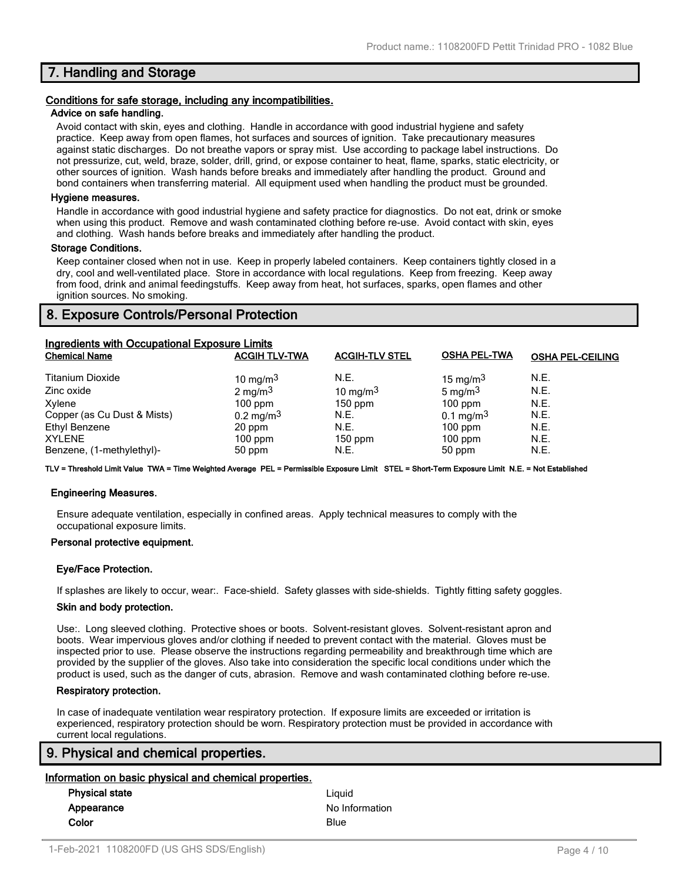# **7. Handling and Storage**

#### **Conditions for safe storage, including any incompatibilities.**

#### **Advice on safe handling.**

Avoid contact with skin, eyes and clothing. Handle in accordance with good industrial hygiene and safety practice. Keep away from open flames, hot surfaces and sources of ignition. Take precautionary measures against static discharges. Do not breathe vapors or spray mist. Use according to package label instructions. Do not pressurize, cut, weld, braze, solder, drill, grind, or expose container to heat, flame, sparks, static electricity, or other sources of ignition. Wash hands before breaks and immediately after handling the product. Ground and bond containers when transferring material. All equipment used when handling the product must be grounded.

#### **Hygiene measures.**

Handle in accordance with good industrial hygiene and safety practice for diagnostics. Do not eat, drink or smoke when using this product. Remove and wash contaminated clothing before re-use. Avoid contact with skin, eyes and clothing. Wash hands before breaks and immediately after handling the product.

#### **Storage Conditions.**

Keep container closed when not in use. Keep in properly labeled containers. Keep containers tightly closed in a dry, cool and well-ventilated place. Store in accordance with local regulations. Keep from freezing. Keep away from food, drink and animal feedingstuffs. Keep away from heat, hot surfaces, sparks, open flames and other ignition sources. No smoking.

# **8. Exposure Controls/Personal Protection**

| <b>Ingredients with Occupational Exposure Limits</b> |                         |                       |                         |                         |
|------------------------------------------------------|-------------------------|-----------------------|-------------------------|-------------------------|
| <b>Chemical Name</b>                                 | <b>ACGIH TLV-TWA</b>    | <b>ACGIH-TLV STEL</b> | <b>OSHA PEL-TWA</b>     | <b>OSHA PEL-CEILING</b> |
| <b>Titanium Dioxide</b>                              | 10 mg/m $3$             | N.E.                  | 15 mg/m $3$             | N.E.                    |
| Zinc oxide                                           | $2 \text{ mg/m}^3$      | 10 mg/m $3$           | 5 mg/m $3$              | N.E.                    |
| Xylene                                               | $100$ ppm               | $150$ ppm             | $100$ ppm               | N.E.                    |
| Copper (as Cu Dust & Mists)                          | $0.2 \,\mathrm{mg/m^3}$ | N.E.                  | $0.1 \,\mathrm{mg/m^3}$ | N.E.                    |
| Ethyl Benzene                                        | 20 ppm                  | N.E.                  | $100$ ppm               | N.E.                    |
| <b>XYLENE</b>                                        | $100$ ppm               | $150$ ppm             | $100$ ppm               | N.E.                    |
| Benzene, (1-methylethyl)-                            | 50 ppm                  | N.E.                  | 50 ppm                  | N.E.                    |

**TLV = Threshold Limit Value TWA = Time Weighted Average PEL = Permissible Exposure Limit STEL = Short-Term Exposure Limit N.E. = Not Established**

#### **Engineering Measures.**

Ensure adequate ventilation, especially in confined areas. Apply technical measures to comply with the occupational exposure limits.

#### **Personal protective equipment.**

#### **Eye/Face Protection.**

If splashes are likely to occur, wear:. Face-shield. Safety glasses with side-shields. Tightly fitting safety goggles.

#### **Skin and body protection.**

Use:. Long sleeved clothing. Protective shoes or boots. Solvent-resistant gloves. Solvent-resistant apron and boots. Wear impervious gloves and/or clothing if needed to prevent contact with the material. Gloves must be inspected prior to use. Please observe the instructions regarding permeability and breakthrough time which are provided by the supplier of the gloves. Also take into consideration the specific local conditions under which the product is used, such as the danger of cuts, abrasion. Remove and wash contaminated clothing before re-use.

#### **Respiratory protection.**

In case of inadequate ventilation wear respiratory protection. If exposure limits are exceeded or irritation is experienced, respiratory protection should be worn. Respiratory protection must be provided in accordance with current local regulations.

# **9. Physical and chemical properties.**

#### **Information on basic physical and chemical properties.**

| <b>Physical state</b> | Liauid         |
|-----------------------|----------------|
| Appearance            | No Information |
| Color                 | Blue           |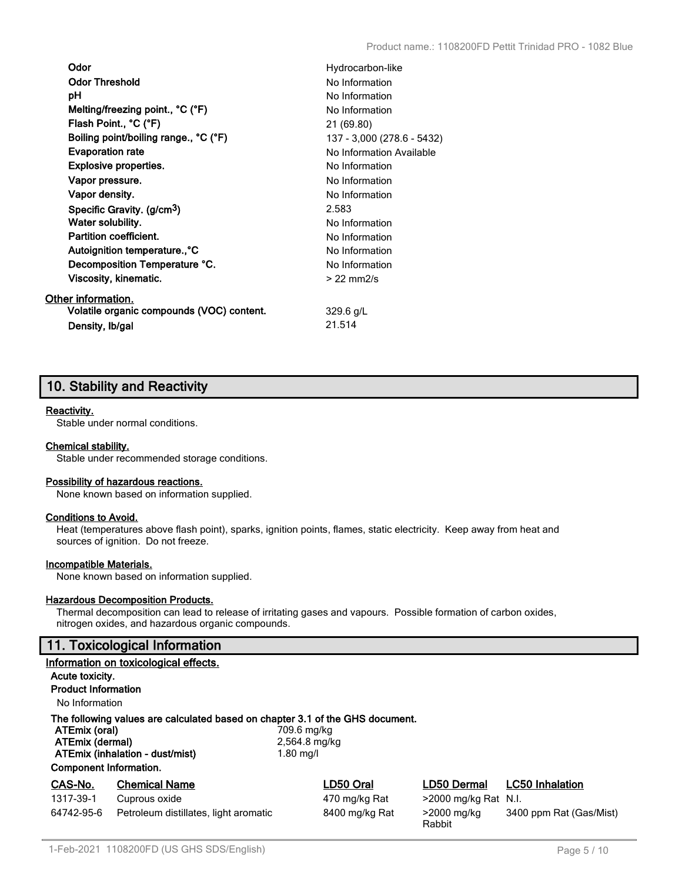| Odor                                      | Hydrocarbon-like           |
|-------------------------------------------|----------------------------|
| <b>Odor Threshold</b>                     | No Information             |
| рH                                        | No Information             |
| Melting/freezing point., °C (°F)          | No Information             |
| Flash Point., °C (°F)                     | 21 (69.80)                 |
| Boiling point/boiling range., °C (°F)     | 137 - 3,000 (278.6 - 5432) |
| <b>Evaporation rate</b>                   | No Information Available   |
| Explosive properties.                     | No Information             |
| Vapor pressure.                           | No Information             |
| Vapor density.                            | No Information             |
| Specific Gravity. (g/cm <sup>3</sup> )    | 2.583                      |
| Water solubility.                         | No Information             |
| <b>Partition coefficient.</b>             | No Information             |
| Autoignition temperature°C                | No Information             |
| Decomposition Temperature °C.             | No Information             |
| Viscosity, kinematic.                     | $>$ 22 mm $2/s$            |
| Other information.                        |                            |
| Volatile organic compounds (VOC) content. | $329.6$ g/L                |
| Density, Ib/gal                           | 21.514                     |

# **10. Stability and Reactivity**

## **Reactivity.**

Stable under normal conditions.

#### **Chemical stability.**

Stable under recommended storage conditions.

#### **Possibility of hazardous reactions.**

None known based on information supplied.

## **Conditions to Avoid.**

Heat (temperatures above flash point), sparks, ignition points, flames, static electricity. Keep away from heat and sources of ignition. Do not freeze.

#### **Incompatible Materials.**

None known based on information supplied.

#### **Hazardous Decomposition Products.**

Thermal decomposition can lead to release of irritating gases and vapours. Possible formation of carbon oxides, nitrogen oxides, and hazardous organic compounds.

# **11. Toxicological Information**

|                                                                                                                                                                                                                                    | Information on toxicological effects. |                |                         |                         |
|------------------------------------------------------------------------------------------------------------------------------------------------------------------------------------------------------------------------------------|---------------------------------------|----------------|-------------------------|-------------------------|
| Acute toxicity.                                                                                                                                                                                                                    |                                       |                |                         |                         |
| <b>Product Information</b>                                                                                                                                                                                                         |                                       |                |                         |                         |
| No Information                                                                                                                                                                                                                     |                                       |                |                         |                         |
| The following values are calculated based on chapter 3.1 of the GHS document.<br>ATEmix (oral)<br>709.6 mg/kg<br>ATEmix (dermal)<br>2,564.8 mg/kg<br>ATEmix (inhalation - dust/mist)<br>1.80 mg/l<br><b>Component Information.</b> |                                       |                |                         |                         |
| CAS-No.                                                                                                                                                                                                                            | <b>Chemical Name</b>                  | LD50 Oral      | LD50 Dermal             | <b>LC50 Inhalation</b>  |
| 1317-39-1                                                                                                                                                                                                                          | Cuprous oxide                         | 470 mg/kg Rat  | $>$ 2000 mg/kg Rat N.I. |                         |
| 64742-95-6                                                                                                                                                                                                                         | Petroleum distillates, light aromatic | 8400 mg/kg Rat | >2000 mg/kg<br>Rabbit   | 3400 ppm Rat (Gas/Mist) |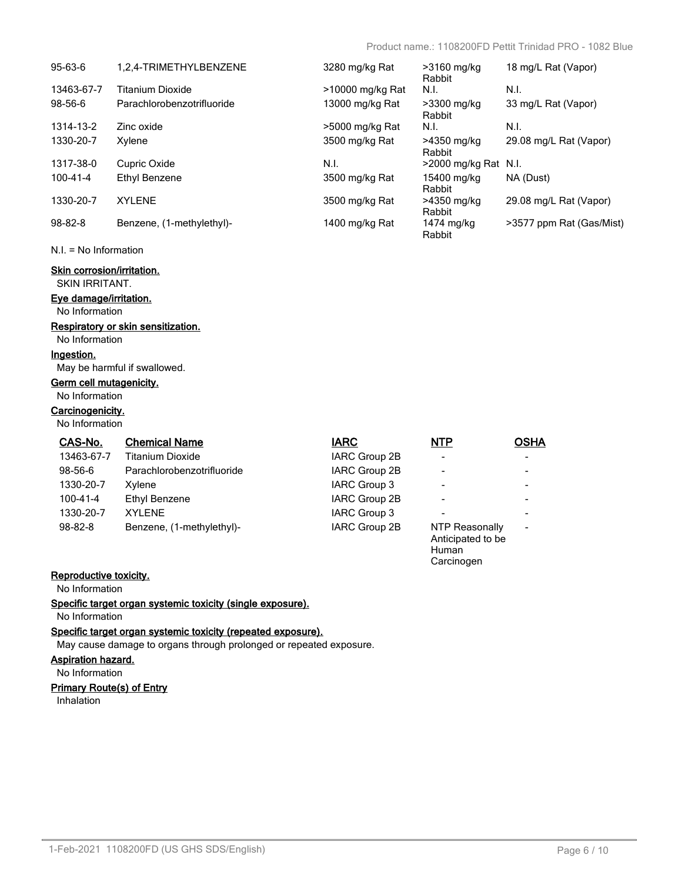Carcinogen

| $95-63-6$      | 1.2.4-TRIMETHYLBENZENE     | 3280 mg/kg Rat   | >3160 mg/kg<br>Rabbit | 18 mg/L Rat (Vapor)      |
|----------------|----------------------------|------------------|-----------------------|--------------------------|
| 13463-67-7     | Titanium Dioxide           | >10000 mg/kg Rat | N.I.                  | N.I.                     |
| $98 - 56 - 6$  | Parachlorobenzotrifluoride | 13000 mg/kg Rat  | >3300 mg/kg<br>Rabbit | 33 mg/L Rat (Vapor)      |
| 1314-13-2      | Zinc oxide                 | >5000 mg/kg Rat  | N.I.                  | N.I.                     |
| 1330-20-7      | Xylene                     | 3500 mg/kg Rat   | >4350 mg/kg<br>Rabbit | 29.08 mg/L Rat (Vapor)   |
| 1317-38-0      | Cupric Oxide               | N.I.             | >2000 mg/kg Rat N.I.  |                          |
| $100 - 41 - 4$ | Ethyl Benzene              | 3500 mg/kg Rat   | 15400 mg/kg<br>Rabbit | NA (Dust)                |
| 1330-20-7      | <b>XYI FNF</b>             | 3500 mg/kg Rat   | >4350 mg/kg<br>Rabbit | 29.08 mg/L Rat (Vapor)   |
| $98 - 82 - 8$  | Benzene, (1-methylethyl)-  | 1400 mg/kg Rat   | 1474 mg/kg<br>Rabbit  | >3577 ppm Rat (Gas/Mist) |

#### N.I. = No Information

# **Skin corrosion/irritation.**

SKIN IRRITANT.

# **Eye damage/irritation.**

No Information

# **Respiratory or skin sensitization.**

No Information

#### **Ingestion.**

May be harmful if swallowed.

# **Germ cell mutagenicity.**

No Information

# **Carcinogenicity.**

No Information

| CAS-No.        | <b>Chemical Name</b>       | <b>IARC</b>   | <b>NTP</b>                                   | <b>OSHA</b>              |
|----------------|----------------------------|---------------|----------------------------------------------|--------------------------|
| 13463-67-7     | Titanium Dioxide           | IARC Group 2B |                                              | $\overline{\phantom{a}}$ |
| 98-56-6        | Parachlorobenzotrifluoride | IARC Group 2B |                                              | $\overline{\phantom{a}}$ |
| 1330-20-7      | Xylene                     | IARC Group 3  | $\,$                                         | $\,$                     |
| $100 - 41 - 4$ | Ethyl Benzene              | IARC Group 2B |                                              | $\,$                     |
| 1330-20-7      | <b>XYLENE</b>              | IARC Group 3  |                                              | $\,$                     |
| 98-82-8        | Benzene, (1-methylethyl)-  | IARC Group 2B | NTP Reasonally<br>Anticipated to be<br>Human | $\blacksquare$           |

# **Reproductive toxicity.**

No Information

**Specific target organ systemic toxicity (single exposure).**

# No Information

**Specific target organ systemic toxicity (repeated exposure).**

May cause damage to organs through prolonged or repeated exposure.

#### **Aspiration hazard.**

No Information

## **Primary Route(s) of Entry**

Inhalation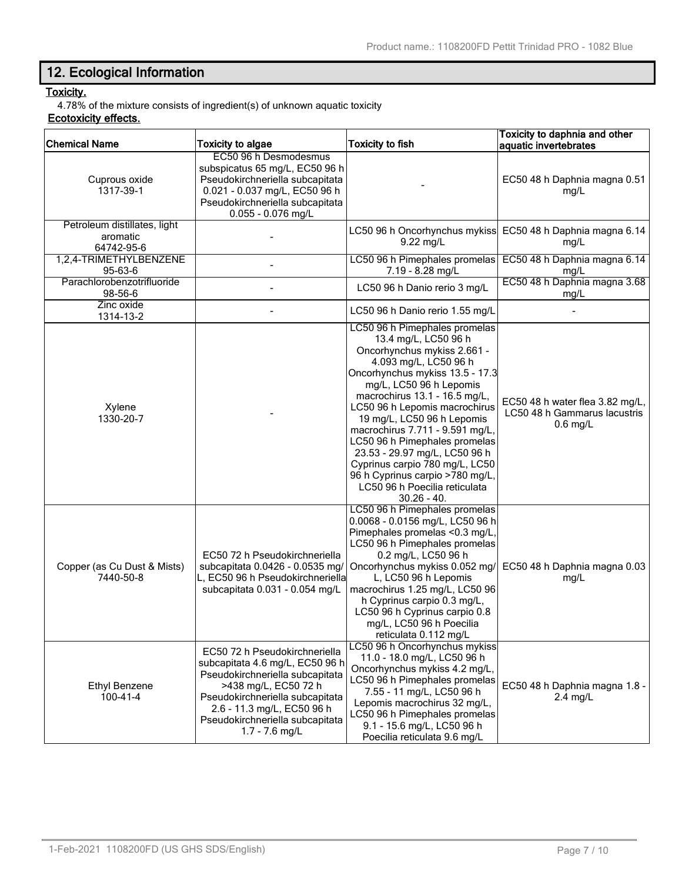# **12. Ecological Information**

# **Toxicity.**

4.78% of the mixture consists of ingredient(s) of unknown aquatic toxicity

# **Ecotoxicity effects.**

| <b>Chemical Name</b>                                   | <b>Toxicity to algae</b>                                                                                                                                                                                                                            | <b>Toxicity to fish</b>                                                                                                                                                                                                                                                                                                                                                                                                                                                                                 | Toxicity to daphnia and other<br>aquatic invertebrates                        |
|--------------------------------------------------------|-----------------------------------------------------------------------------------------------------------------------------------------------------------------------------------------------------------------------------------------------------|---------------------------------------------------------------------------------------------------------------------------------------------------------------------------------------------------------------------------------------------------------------------------------------------------------------------------------------------------------------------------------------------------------------------------------------------------------------------------------------------------------|-------------------------------------------------------------------------------|
| Cuprous oxide<br>1317-39-1                             | EC50 96 h Desmodesmus<br>subspicatus 65 mg/L, EC50 96 h<br>Pseudokirchneriella subcapitata<br>0.021 - 0.037 mg/L, EC50 96 h<br>Pseudokirchneriella subcapitata<br>0.055 - 0.076 mg/L                                                                |                                                                                                                                                                                                                                                                                                                                                                                                                                                                                                         | EC50 48 h Daphnia magna 0.51<br>mg/L                                          |
| Petroleum distillates, light<br>aromatic<br>64742-95-6 |                                                                                                                                                                                                                                                     | LC50 96 h Oncorhynchus mykiss<br>9.22 mg/L                                                                                                                                                                                                                                                                                                                                                                                                                                                              | EC50 48 h Daphnia magna 6.14<br>mg/L                                          |
| 1,2,4-TRIMETHYLBENZENE<br>95-63-6                      |                                                                                                                                                                                                                                                     | LC50 96 h Pimephales promelas<br>7.19 - 8.28 mg/L                                                                                                                                                                                                                                                                                                                                                                                                                                                       | EC50 48 h Daphnia magna 6.14<br>mg/L                                          |
| Parachlorobenzotrifluoride<br>98-56-6                  |                                                                                                                                                                                                                                                     | LC50 96 h Danio rerio 3 mg/L                                                                                                                                                                                                                                                                                                                                                                                                                                                                            | EC50 48 h Daphnia magna 3.68<br>mg/L                                          |
| Zinc oxide<br>1314-13-2                                |                                                                                                                                                                                                                                                     | LC50 96 h Danio rerio 1.55 mg/L                                                                                                                                                                                                                                                                                                                                                                                                                                                                         |                                                                               |
| Xylene<br>1330-20-7                                    |                                                                                                                                                                                                                                                     | LC50 96 h Pimephales promelas<br>13.4 mg/L, LC50 96 h<br>Oncorhynchus mykiss 2.661 -<br>4.093 mg/L, LC50 96 h<br>Oncorhynchus mykiss 13.5 - 17.3<br>mg/L, LC50 96 h Lepomis<br>macrochirus 13.1 - 16.5 mg/L,<br>LC50 96 h Lepomis macrochirus<br>19 mg/L, LC50 96 h Lepomis<br>macrochirus 7.711 - 9.591 mg/L,<br>LC50 96 h Pimephales promelas<br>23.53 - 29.97 mg/L, LC50 96 h<br>Cyprinus carpio 780 mg/L, LC50<br>96 h Cyprinus carpio >780 mg/L,<br>LC50 96 h Poecilia reticulata<br>$30.26 - 40.$ | EC50 48 h water flea 3.82 mg/L,<br>LC50 48 h Gammarus lacustris<br>$0.6$ mg/L |
| Copper (as Cu Dust & Mists)<br>7440-50-8               | EC50 72 h Pseudokirchneriella<br>subcapitata 0.0426 - 0.0535 mg/<br>L, EC50 96 h Pseudokirchneriella<br>subcapitata 0.031 - 0.054 mg/L                                                                                                              | LC50 96 h Pimephales promelas<br>0.0068 - 0.0156 mg/L, LC50 96 h<br>Pimephales promelas <0.3 mg/L,<br>LC50 96 h Pimephales promelas<br>0.2 mg/L, LC50 96 h<br>Oncorhynchus mykiss 0.052 mg/<br>L, LC50 96 h Lepomis<br>macrochirus 1.25 mg/L, LC50 96<br>h Cyprinus carpio 0.3 mg/L,<br>LC50 96 h Cyprinus carpio 0.8<br>mg/L, LC50 96 h Poecilia<br>reticulata 0.112 mg/L                                                                                                                              | EC50 48 h Daphnia magna 0.03<br>mg/L                                          |
| <b>Ethyl Benzene</b><br>$100 - 41 - 4$                 | EC50 72 h Pseudokirchneriella<br>subcapitata 4.6 mg/L, EC50 96 h<br>Pseudokirchneriella subcapitata<br>>438 mg/L, EC50 72 h<br>Pseudokirchneriella subcapitata<br>2.6 - 11.3 mg/L, EC50 96 h<br>Pseudokirchneriella subcapitata<br>$1.7 - 7.6$ mg/L | LC50 96 h Oncorhynchus mykiss<br>11.0 - 18.0 mg/L, LC50 96 h<br>Oncorhynchus mykiss 4.2 mg/L,<br>LC50 96 h Pimephales promelas<br>7.55 - 11 mg/L, LC50 96 h<br>Lepomis macrochirus 32 mg/L,<br>LC50 96 h Pimephales promelas<br>9.1 - 15.6 mg/L, LC50 96 h<br>Poecilia reticulata 9.6 mg/L                                                                                                                                                                                                              | EC50 48 h Daphnia magna 1.8 -<br>$2.4$ mg/L                                   |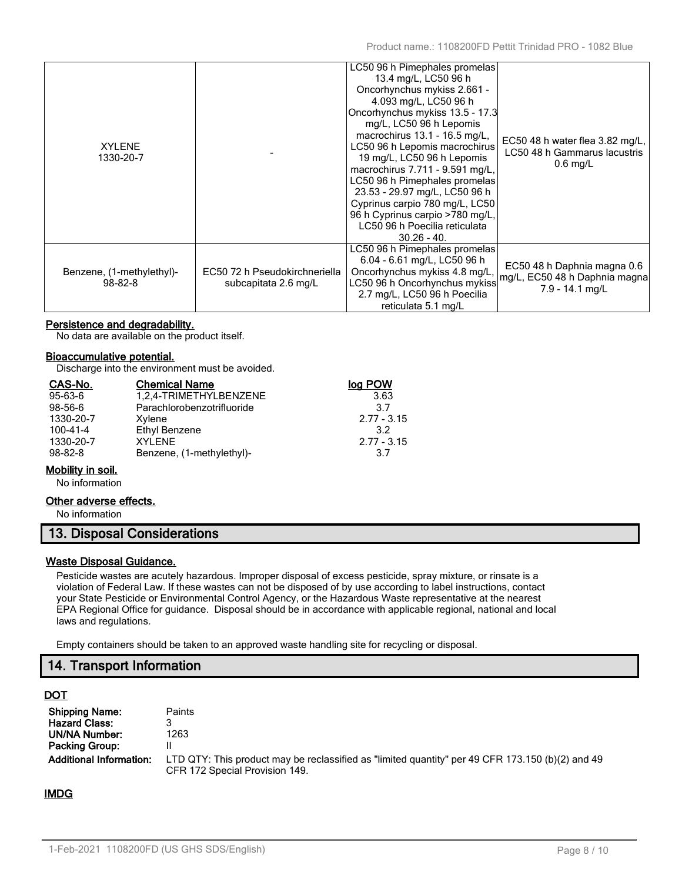| <b>XYLENE</b><br>1330-20-7                 |                                                       | LC50 96 h Pimephales promelas<br>13.4 mg/L, LC50 96 h<br>Oncorhynchus mykiss 2.661 -<br>4.093 mg/L, LC50 96 h<br>Oncorhynchus mykiss 13.5 - 17.3<br>mg/L, LC50 96 h Lepomis<br>macrochirus 13.1 - 16.5 mg/L,<br>LC50 96 h Lepomis macrochirus<br>19 mg/L, LC50 96 h Lepomis<br>macrochirus 7.711 - 9.591 mg/L,<br>LC50 96 h Pimephales promelas<br>23.53 - 29.97 mg/L, LC50 96 h<br>Cyprinus carpio 780 mg/L, LC50<br>96 h Cyprinus carpio >780 mg/L,<br>LC50 96 h Poecilia reticulata<br>$30.26 - 40.$ | EC50 48 h water flea $3.82 \text{ mg/L}$ ,<br>LC50 48 h Gammarus lacustris<br>$0.6$ mg/L |
|--------------------------------------------|-------------------------------------------------------|---------------------------------------------------------------------------------------------------------------------------------------------------------------------------------------------------------------------------------------------------------------------------------------------------------------------------------------------------------------------------------------------------------------------------------------------------------------------------------------------------------|------------------------------------------------------------------------------------------|
| Benzene, (1-methylethyl)-<br>$98 - 82 - 8$ | EC50 72 h Pseudokirchneriella<br>subcapitata 2.6 mg/L | LC50 96 h Pimephales promelas<br>6.04 - 6.61 mg/L, LC50 96 h<br>Oncorhynchus mykiss 4.8 mg/L,<br>LC50 96 h Oncorhynchus mykiss<br>2.7 mg/L, LC50 96 h Poecilia<br>reticulata 5.1 mg/L                                                                                                                                                                                                                                                                                                                   | EC50 48 h Daphnia magna 0.6<br>mg/L, EC50 48 h Daphnia magna<br>7.9 - 14.1 mg/L          |

# **Persistence and degradability.**

No data are available on the product itself.

#### **Bioaccumulative potential.**

Discharge into the environment must be avoided.

| CAS-No.       | <b>Chemical Name</b>       | log POW         |
|---------------|----------------------------|-----------------|
| $95 - 63 - 6$ | 1,2,4-TRIMETHYLBENZENE     | 3.63            |
| $98 - 56 - 6$ | Parachlorobenzotrifluoride | 37              |
| 1330-20-7     | Xylene                     | $2.77 - 3.15$   |
| 100-41-4      | Ethyl Benzene              | 32 <sup>2</sup> |
| 1330-20-7     | XYI FNF                    | $2.77 - 3.15$   |
| $98 - 82 - 8$ | Benzene, (1-methylethyl)-  | 3.7             |

## **Mobility in soil.**

No information

#### **Other adverse effects.**

No information

# **13. Disposal Considerations**

#### **Waste Disposal Guidance.**

Pesticide wastes are acutely hazardous. Improper disposal of excess pesticide, spray mixture, or rinsate is a violation of Federal Law. If these wastes can not be disposed of by use according to label instructions, contact your State Pesticide or Environmental Control Agency, or the Hazardous Waste representative at the nearest EPA Regional Office for guidance. Disposal should be in accordance with applicable regional, national and local laws and regulations.

Empty containers should be taken to an approved waste handling site for recycling or disposal.

# **14. Transport Information**

## **DOT**

| <b>Shipping Name:</b>          | Paints                                                                                                                             |
|--------------------------------|------------------------------------------------------------------------------------------------------------------------------------|
| <b>Hazard Class:</b>           |                                                                                                                                    |
| UN/NA Number:                  | 1263                                                                                                                               |
| <b>Packing Group:</b>          |                                                                                                                                    |
| <b>Additional Information:</b> | LTD QTY: This product may be reclassified as "limited quantity" per 49 CFR 173.150 (b)(2) and 49<br>CFR 172 Special Provision 149. |

# **IMDG**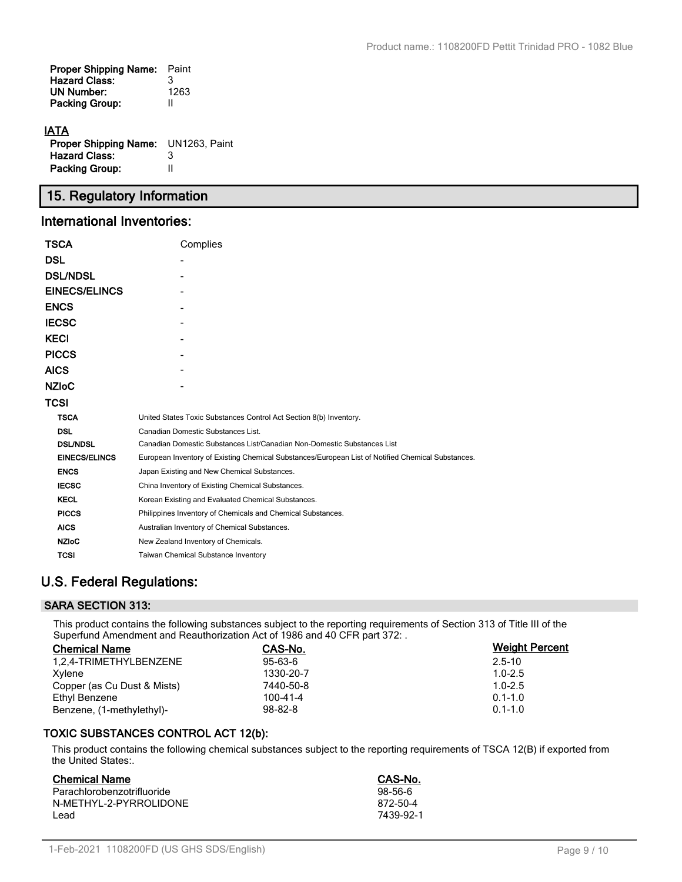| <b>Proper Shipping Name:</b><br><b>Hazard Class:</b> | Paint<br>3 |
|------------------------------------------------------|------------|
| <b>UN Number:</b>                                    | 1263       |
| <b>Packing Group:</b>                                | Ш          |
|                                                      |            |

# **IATA**

| <b>Proper Shipping Name:</b> UN1263, Paint |   |
|--------------------------------------------|---|
| <b>Hazard Class:</b>                       | 3 |
| <b>Packing Group:</b>                      | Ш |

# **15. Regulatory Information**

# **International Inventories:**

| TSCA                 | Complies                                                                                          |
|----------------------|---------------------------------------------------------------------------------------------------|
| <b>DSL</b>           |                                                                                                   |
| <b>DSL/NDSL</b>      |                                                                                                   |
| <b>EINECS/ELINCS</b> |                                                                                                   |
| <b>ENCS</b>          |                                                                                                   |
| <b>IECSC</b>         |                                                                                                   |
| <b>KECI</b>          |                                                                                                   |
| <b>PICCS</b>         |                                                                                                   |
| <b>AICS</b>          |                                                                                                   |
| <b>NZIoC</b>         |                                                                                                   |
| TCSI                 |                                                                                                   |
| <b>TSCA</b>          | United States Toxic Substances Control Act Section 8(b) Inventory.                                |
| <b>DSL</b>           | Canadian Domestic Substances List.                                                                |
| <b>DSL/NDSL</b>      | Canadian Domestic Substances List/Canadian Non-Domestic Substances List                           |
| <b>EINECS/ELINCS</b> | European Inventory of Existing Chemical Substances/European List of Notified Chemical Substances. |
| <b>ENCS</b>          | Japan Existing and New Chemical Substances.                                                       |
| <b>IECSC</b>         | China Inventory of Existing Chemical Substances.                                                  |
| <b>KECL</b>          | Korean Existing and Evaluated Chemical Substances.                                                |
| <b>PICCS</b>         | Philippines Inventory of Chemicals and Chemical Substances.                                       |
| <b>AICS</b>          | Australian Inventory of Chemical Substances.                                                      |
| <b>NZIoC</b>         | New Zealand Inventory of Chemicals.                                                               |
| TCSI                 | <b>Taiwan Chemical Substance Inventory</b>                                                        |

# **U.S. Federal Regulations:**

# **SARA SECTION 313:**

This product contains the following substances subject to the reporting requirements of Section 313 of Title III of the Superfund Amendment and Reauthorization Act of 1986 and 40 CFR part 372: .

| <b>Chemical Name</b>        | CAS-No.       | <b>Weight Percent</b> |
|-----------------------------|---------------|-----------------------|
| 1.2.4-TRIMETHYLBENZENE      | $95 - 63 - 6$ | $2.5 - 10$            |
| Xylene                      | 1330-20-7     | $1.0 - 2.5$           |
| Copper (as Cu Dust & Mists) | 7440-50-8     | $1.0 - 2.5$           |
| Ethyl Benzene               | 100-41-4      | $0.1 - 1.0$           |
| Benzene, (1-methylethyl)-   | $98 - 82 - 8$ | $0.1 - 1.0$           |

# **TOXIC SUBSTANCES CONTROL ACT 12(b):**

This product contains the following chemical substances subject to the reporting requirements of TSCA 12(B) if exported from the United States:.

| <b>Chemical Name</b>       | CAS-No.   |
|----------------------------|-----------|
| Parachlorobenzotrifluoride | $98-56-6$ |
| N-METHYL-2-PYRROLIDONE     | 872-50-4  |
| Lead                       | 7439-92-1 |